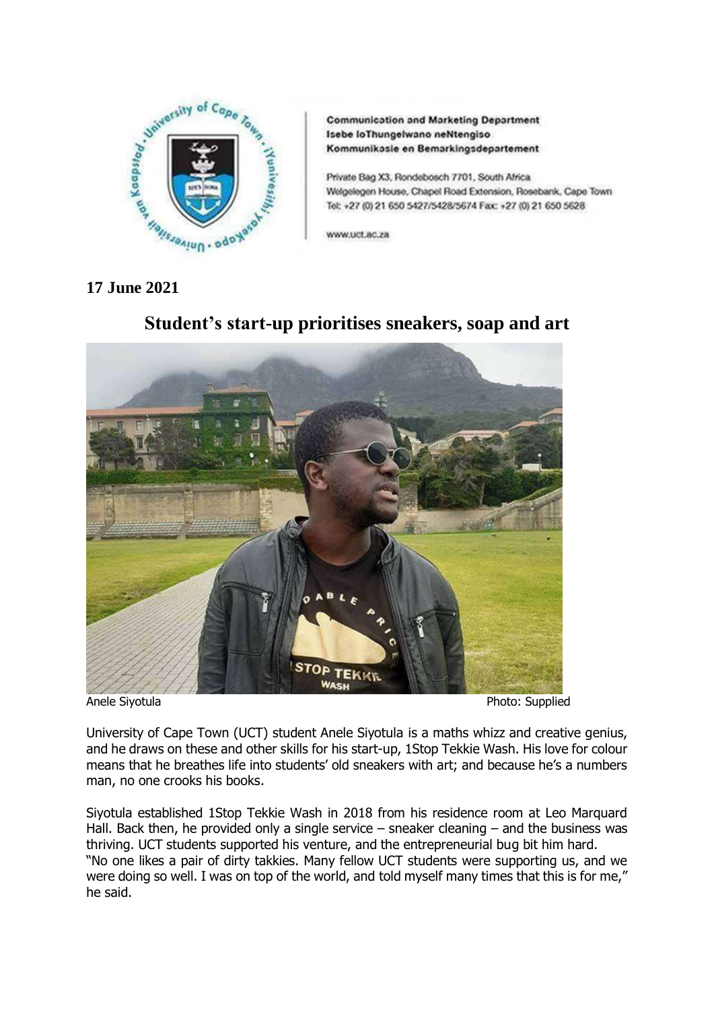

**Communication and Marketing Department** Isebe loThungelwano neNtengiso Kommunikasle en Bemarkingsdepartement

Private Bag X3, Rondebosch 7701, South Africa Welgelegen House, Chapel Road Extension, Rosebank, Cape Town Tel: +27 (0) 21 650 5427/5428/5674 Fax: +27 (0) 21 650 5628

www.uct.ac.za

## **17 June 2021**



# **Student's start-up prioritises sneakers, soap and art**

University of Cape Town (UCT) student Anele Siyotula is a maths whizz and creative genius, and he draws on these and other skills for his start-up, 1Stop Tekkie Wash. His love for colour means that he breathes life into students' old sneakers with art; and because he's a numbers man, no one crooks his books.

Siyotula established 1Stop Tekkie Wash in 2018 from his residence room at Leo Marquard Hall. Back then, he provided only a single service – sneaker cleaning – and the business was thriving. UCT students supported his venture, and the entrepreneurial bug bit him hard. "No one likes a pair of dirty takkies. Many fellow UCT students were supporting us, and we were doing so well. I was on top of the world, and told myself many times that this is for me," he said.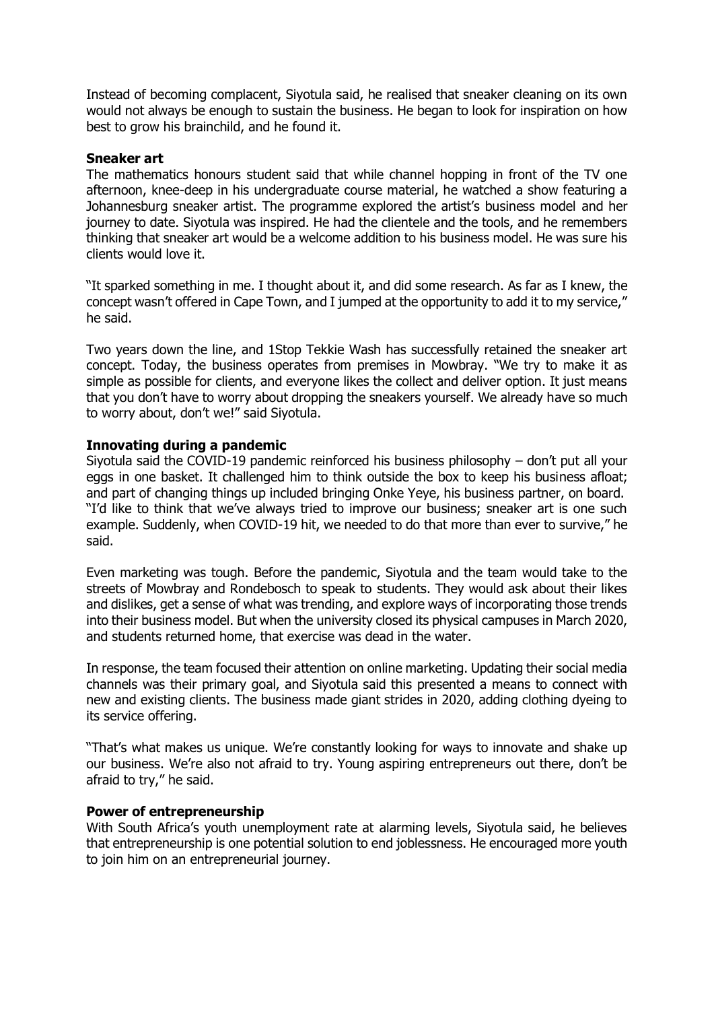Instead of becoming complacent, Siyotula said, he realised that sneaker cleaning on its own would not always be enough to sustain the business. He began to look for inspiration on how best to grow his brainchild, and he found it.

#### **Sneaker art**

The mathematics honours student said that while channel hopping in front of the TV one afternoon, knee-deep in his undergraduate course material, he watched a show featuring a Johannesburg sneaker artist. The programme explored the artist's business model and her journey to date. Siyotula was inspired. He had the clientele and the tools, and he remembers thinking that sneaker art would be a welcome addition to his business model. He was sure his clients would love it.

"It sparked something in me. I thought about it, and did some research. As far as I knew, the concept wasn't offered in Cape Town, and I jumped at the opportunity to add it to my service," he said.

Two years down the line, and 1Stop Tekkie Wash has successfully retained the sneaker art concept. Today, the business operates from premises in Mowbray. "We try to make it as simple as possible for clients, and everyone likes the collect and deliver option. It just means that you don't have to worry about dropping the sneakers yourself. We already have so much to worry about, don't we!" said Siyotula.

### **Innovating during a pandemic**

Siyotula said the COVID-19 pandemic reinforced his business philosophy – don't put all your eggs in one basket. It challenged him to think outside the box to keep his business afloat; and part of changing things up included bringing Onke Yeye, his business partner, on board. "I'd like to think that we've always tried to improve our business; sneaker art is one such example. Suddenly, when COVID-19 hit, we needed to do that more than ever to survive," he said.

Even marketing was tough. Before the pandemic, Siyotula and the team would take to the streets of Mowbray and Rondebosch to speak to students. They would ask about their likes and dislikes, get a sense of what was trending, and explore ways of incorporating those trends into their business model. But when the university closed its physical campuses in March 2020, and students returned home, that exercise was dead in the water.

In response, the team focused their attention on online marketing. Updating their social media channels was their primary goal, and Siyotula said this presented a means to connect with new and existing clients. The business made giant strides in 2020, adding clothing dyeing to its service offering.

"That's what makes us unique. We're constantly looking for ways to innovate and shake up our business. We're also not afraid to try. Young aspiring entrepreneurs out there, don't be afraid to try," he said.

#### **Power of entrepreneurship**

With South Africa's youth unemployment rate at alarming levels, Siyotula said, he believes that entrepreneurship is one potential solution to end joblessness. He encouraged more youth to join him on an entrepreneurial journey.